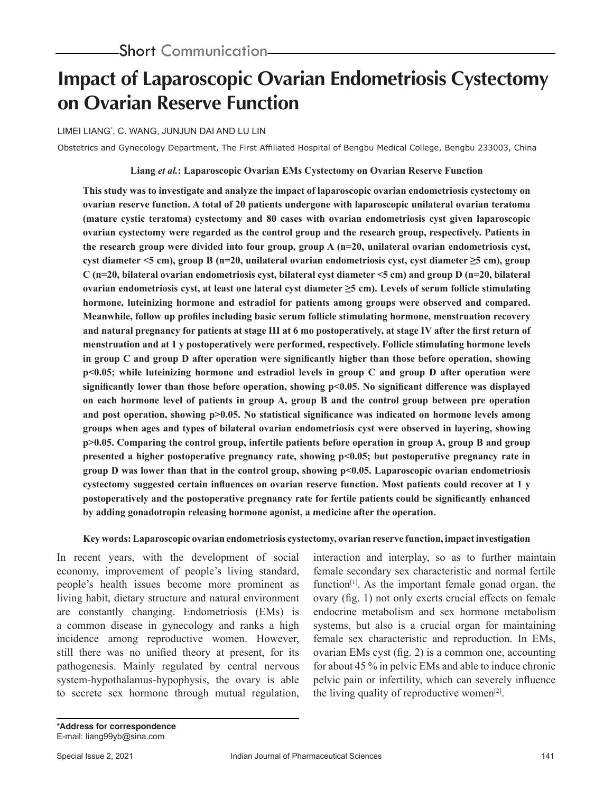# **Impact of Laparoscopic Ovarian Endometriosis Cystectomy on Ovarian Reserve Function**

LIMEI LIANG\* , C. WANG, JUNJUN DAI AND LU LIN

Obstetrics and Gynecology Department, The First Affiliated Hospital of Bengbu Medical College, Bengbu 233003, China

### **Liang** *et al.***: Laparoscopic Ovarian EMs Cystectomy on Ovarian Reserve Function**

**This study was to investigate and analyze the impact of laparoscopic ovarian endometriosis cystectomy on ovarian reserve function. A total of 20 patients undergone with laparoscopic unilateral ovarian teratoma (mature cystic teratoma) cystectomy and 80 cases with ovarian endometriosis cyst given laparoscopic ovarian cystectomy were regarded as the control group and the research group, respectively. Patients in the research group were divided into four group, group A (n=20, unilateral ovarian endometriosis cyst, cyst diameter <5 cm), group B (n=20, unilateral ovarian endometriosis cyst, cyst diameter ≥5 cm), group C (n=20, bilateral ovarian endometriosis cyst, bilateral cyst diameter <5 cm) and group D (n=20, bilateral ovarian endometriosis cyst, at least one lateral cyst diameter ≥5 cm). Levels of serum follicle stimulating hormone, luteinizing hormone and estradiol for patients among groups were observed and compared. Meanwhile, follow up profiles including basic serum follicle stimulating hormone, menstruation recovery and natural pregnancy for patients at stage III at 6 mo postoperatively, at stage IV after the first return of menstruation and at 1 y postoperatively were performed, respectively. Follicle stimulating hormone levels in group C and group D after operation were significantly higher than those before operation, showing p<0.05; while luteinizing hormone and estradiol levels in group C and group D after operation were significantly lower than those before operation, showing p<0.05. No significant difference was displayed on each hormone level of patients in group A, group B and the control group between pre operation and post operation, showing p>0.05. No statistical significance was indicated on hormone levels among groups when ages and types of bilateral ovarian endometriosis cyst were observed in layering, showing p>0.05. Comparing the control group, infertile patients before operation in group A, group B and group presented a higher postoperative pregnancy rate, showing p<0.05; but postoperative pregnancy rate in group D was lower than that in the control group, showing p<0.05. Laparoscopic ovarian endometriosis cystectomy suggested certain influences on ovarian reserve function. Most patients could recover at 1 y postoperatively and the postoperative pregnancy rate for fertile patients could be significantly enhanced by adding gonadotropin releasing hormone agonist, a medicine after the operation.**

#### **Key words: Laparoscopic ovarian endometriosis cystectomy, ovarian reserve function, impact investigation**

In recent years, with the development of social economy, improvement of people's living standard, people's health issues become more prominent as living habit, dietary structure and natural environment are constantly changing. Endometriosis (EMs) is a common disease in gynecology and ranks a high incidence among reproductive women. However, still there was no unified theory at present, for its pathogenesis. Mainly regulated by central nervous system-hypothalamus-hypophysis, the ovary is able to secrete sex hormone through mutual regulation, interaction and interplay, so as to further maintain female secondary sex characteristic and normal fertile function<sup>[1]</sup>. As the important female gonad organ, the ovary (fig. 1) not only exerts crucial effects on female endocrine metabolism and sex hormone metabolism systems, but also is a crucial organ for maintaining female sex characteristic and reproduction. In EMs, ovarian EMs cyst (fig. 2) is a common one, accounting for about 45 % in pelvic EMs and able to induce chronic pelvic pain or infertility, which can severely influence the living quality of reproductive women $[2]$ .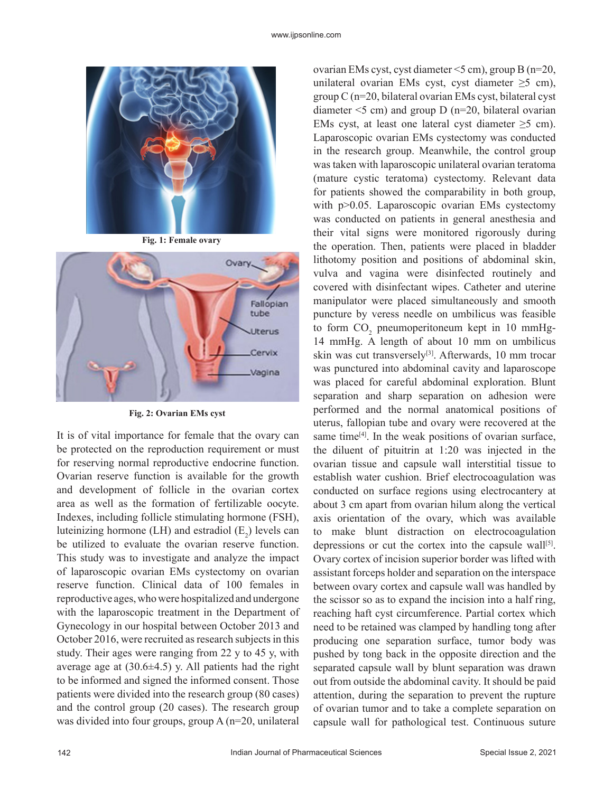

**Fig. 1: Female ovary**



**Fig. 2: Ovarian EMs cyst**

It is of vital importance for female that the ovary can be protected on the reproduction requirement or must for reserving normal reproductive endocrine function. Ovarian reserve function is available for the growth and development of follicle in the ovarian cortex area as well as the formation of fertilizable oocyte. Indexes, including follicle stimulating hormone (FSH), luteinizing hormone (LH) and estradiol  $(E_2)$  levels can be utilized to evaluate the ovarian reserve function. This study was to investigate and analyze the impact of laparoscopic ovarian EMs cystectomy on ovarian reserve function. Clinical data of 100 females in reproductive ages, who were hospitalized and undergone with the laparoscopic treatment in the Department of Gynecology in our hospital between October 2013 and October 2016, were recruited as research subjects in this study. Their ages were ranging from 22 y to 45 y, with average age at  $(30.6\pm4.5)$  y. All patients had the right to be informed and signed the informed consent. Those patients were divided into the research group (80 cases) and the control group (20 cases). The research group was divided into four groups, group A (n=20, unilateral

ovarian EMs cyst, cyst diameter <5 cm), group B (n=20, unilateral ovarian EMs cyst, cyst diameter  $\geq$ 5 cm), group C (n=20, bilateral ovarian EMs cyst, bilateral cyst diameter  $\leq$  cm) and group D (n=20, bilateral ovarian EMs cyst, at least one lateral cyst diameter  $\geq$ 5 cm). Laparoscopic ovarian EMs cystectomy was conducted in the research group. Meanwhile, the control group was taken with laparoscopic unilateral ovarian teratoma (mature cystic teratoma) cystectomy. Relevant data for patients showed the comparability in both group, with p>0.05. Laparoscopic ovarian EMs cystectomy was conducted on patients in general anesthesia and their vital signs were monitored rigorously during the operation. Then, patients were placed in bladder lithotomy position and positions of abdominal skin, vulva and vagina were disinfected routinely and covered with disinfectant wipes. Catheter and uterine manipulator were placed simultaneously and smooth puncture by veress needle on umbilicus was feasible to form  $CO_2$  pneumoperitoneum kept in 10 mmHg-14 mmHg. A length of about 10 mm on umbilicus skin was cut transversely<sup>[3]</sup>. Afterwards, 10 mm trocar was punctured into abdominal cavity and laparoscope was placed for careful abdominal exploration. Blunt separation and sharp separation on adhesion were performed and the normal anatomical positions of uterus, fallopian tube and ovary were recovered at the same time $[4]$ . In the weak positions of ovarian surface, the diluent of pituitrin at 1:20 was injected in the ovarian tissue and capsule wall interstitial tissue to establish water cushion. Brief electrocoagulation was conducted on surface regions using electrocantery at about 3 cm apart from ovarian hilum along the vertical axis orientation of the ovary, which was available to make blunt distraction on electrocoagulation depressions or cut the cortex into the capsule wall<sup>[5]</sup>. Ovary cortex of incision superior border was lifted with assistant forceps holder and separation on the interspace between ovary cortex and capsule wall was handled by the scissor so as to expand the incision into a half ring, reaching haft cyst circumference. Partial cortex which need to be retained was clamped by handling tong after producing one separation surface, tumor body was pushed by tong back in the opposite direction and the separated capsule wall by blunt separation was drawn out from outside the abdominal cavity. It should be paid attention, during the separation to prevent the rupture of ovarian tumor and to take a complete separation on capsule wall for pathological test. Continuous suture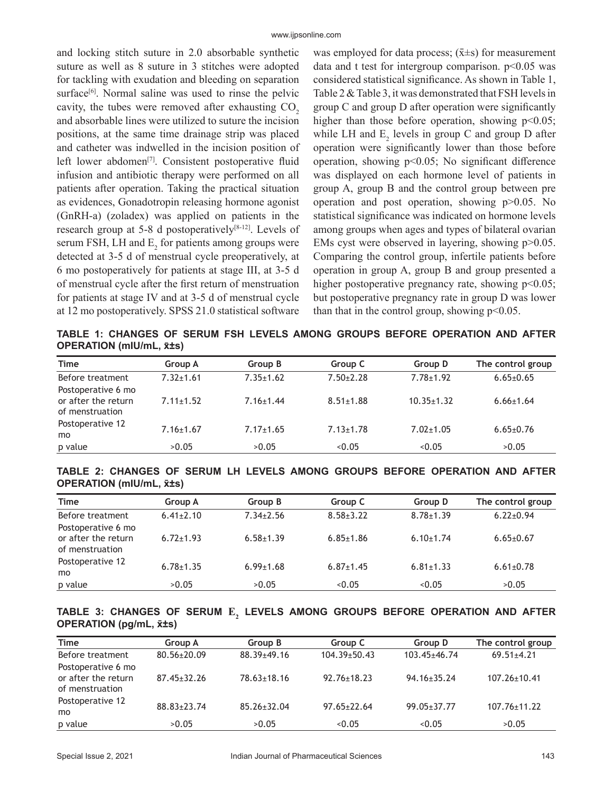and locking stitch suture in 2.0 absorbable synthetic suture as well as 8 suture in 3 stitches were adopted for tackling with exudation and bleeding on separation surface $[6]$ . Normal saline was used to rinse the pelvic cavity, the tubes were removed after exhausting  $CO<sub>2</sub>$ and absorbable lines were utilized to suture the incision positions, at the same time drainage strip was placed and catheter was indwelled in the incision position of left lower abdomen<sup>[7]</sup>. Consistent postoperative fluid infusion and antibiotic therapy were performed on all patients after operation. Taking the practical situation as evidences, Gonadotropin releasing hormone agonist (GnRH-a) (zoladex) was applied on patients in the research group at 5-8 d postoperatively $[8-12]$ . Levels of serum FSH, LH and  $E_2$  for patients among groups were detected at 3-5 d of menstrual cycle preoperatively, at 6 mo postoperatively for patients at stage III, at 3-5 d of menstrual cycle after the first return of menstruation for patients at stage IV and at 3-5 d of menstrual cycle at 12 mo postoperatively. SPSS 21.0 statistical software

was employed for data process;  $(\bar{x} \pm s)$  for measurement data and t test for intergroup comparison.  $p<0.05$  was considered statistical significance. As shown in Table 1, Table 2 & Table 3, it was demonstrated that FSH levels in group C and group D after operation were significantly higher than those before operation, showing  $p<0.05$ ; while LH and  $E_2$  levels in group C and group D after operation were significantly lower than those before operation, showing p<0.05; No significant difference was displayed on each hormone level of patients in group A, group B and the control group between pre operation and post operation, showing p>0.05. No statistical significance was indicated on hormone levels among groups when ages and types of bilateral ovarian EMs cyst were observed in layering, showing  $p > 0.05$ . Comparing the control group, infertile patients before operation in group A, group B and group presented a higher postoperative pregnancy rate, showing  $p<0.05$ ; but postoperative pregnancy rate in group D was lower than that in the control group, showing  $p<0.05$ .

**TABLE 1: CHANGES OF SERUM FSH LEVELS AMONG GROUPS BEFORE OPERATION AND AFTER OPERATION (mIU/mL, x̄±s)**

| Time                                                         | Group A         | Group B         | Group C         | Group D          | The control group |
|--------------------------------------------------------------|-----------------|-----------------|-----------------|------------------|-------------------|
| Before treatment                                             | $7.32 + 1.61$   | $7.35 \pm 1.62$ | $7.50 + 2.28$   | $7.78 + 1.92$    | $6.65 \pm 0.65$   |
| Postoperative 6 mo<br>or after the return<br>of menstruation | $7.11 \pm 1.52$ | $7.16 \pm 1.44$ | $8.51 \pm 1.88$ | $10.35 \pm 1.32$ | $6.66 \pm 1.64$   |
| Postoperative 12<br>mo                                       | $7.16 \pm 1.67$ | $7.17 \pm 1.65$ | $7.13 \pm 1.78$ | $7.02 \pm 1.05$  | $6.65 \pm 0.76$   |
| p value                                                      | >0.05           | >0.05           | < 0.05          | < 0.05           | >0.05             |

#### **TABLE 2: CHANGES OF SERUM LH LEVELS AMONG GROUPS BEFORE OPERATION AND AFTER OPERATION (mIU/mL, x̄±s)**

| Time                                                         | Group A         | Group B         | Group C         | Group D         | The control group |
|--------------------------------------------------------------|-----------------|-----------------|-----------------|-----------------|-------------------|
| Before treatment                                             | $6.41 \pm 2.10$ | $7.34 \pm 2.56$ | $8.58 + 3.22$   | $8.78 \pm 1.39$ | $6.22 \pm 0.94$   |
| Postoperative 6 mo<br>or after the return<br>of menstruation | $6.72 \pm 1.93$ | $6.58 + 1.39$   | $6.85 \pm 1.86$ | $6.10+1.74$     | $6.65 \pm 0.67$   |
| Postoperative 12<br>mo                                       | $6.78 \pm 1.35$ | $6.99 \pm 1.68$ | $6.87 \pm 1.45$ | $6.81 \pm 1.33$ | $6.61 \pm 0.78$   |
| p value                                                      | >0.05           | >0.05           | < 0.05          | < 0.05          | >0.05             |

#### **TABLE 3: CHANGES OF SERUM**  $\mathbf{E}_{2}$  **LEVELS AMONG GROUPS BEFORE OPERATION AND AFTER OPERATION (pg/mL, x̄±s)**

| <b>Time</b>                                                  | <b>Group A</b>    | Group B           | Group C            | Group D            | The control group  |
|--------------------------------------------------------------|-------------------|-------------------|--------------------|--------------------|--------------------|
| Before treatment                                             | $80.56 \pm 20.09$ | $88.39 \pm 49.16$ | $104.39 \pm 50.43$ | $103.45 \pm 46.74$ | $69.51 \pm 4.21$   |
| Postoperative 6 mo<br>or after the return<br>of menstruation | $87.45 \pm 32.26$ | $78.63 \pm 18.16$ | $92.76 \pm 18.23$  | $94.16 \pm 35.24$  | $107.26 \pm 10.41$ |
| Postoperative 12<br>mo                                       | 88.83±23.74       | $85.26 \pm 32.04$ | $97.65 \pm 22.64$  | $99.05 \pm 37.77$  | $107.76 \pm 11.22$ |
| p value                                                      | >0.05             | >0.05             | < 0.05             | < 0.05             | >0.05              |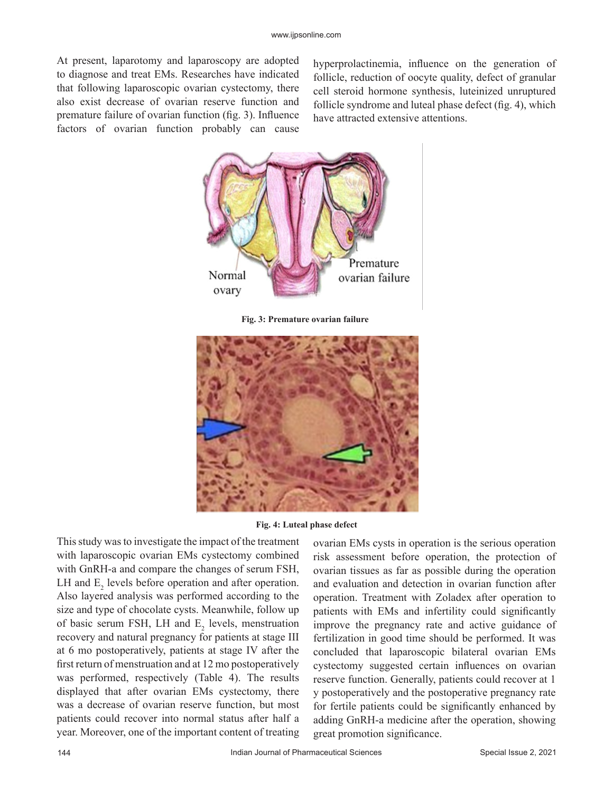At present, laparotomy and laparoscopy are adopted to diagnose and treat EMs. Researches have indicated that following laparoscopic ovarian cystectomy, there also exist decrease of ovarian reserve function and premature failure of ovarian function (fig. 3). Influence factors of ovarian function probably can cause

hyperprolactinemia, influence on the generation of follicle, reduction of oocyte quality, defect of granular cell steroid hormone synthesis, luteinized unruptured follicle syndrome and luteal phase defect (fig. 4), which have attracted extensive attentions.



**Fig. 3: Premature ovarian failure**





This study was to investigate the impact of the treatment with laparoscopic ovarian EMs cystectomy combined with GnRH-a and compare the changes of serum FSH, LH and  $E_2$  levels before operation and after operation. Also layered analysis was performed according to the size and type of chocolate cysts. Meanwhile, follow up of basic serum FSH, LH and  $E_2$  levels, menstruation recovery and natural pregnancy for patients at stage III at 6 mo postoperatively, patients at stage IV after the first return of menstruation and at 12 mo postoperatively was performed, respectively (Table 4). The results displayed that after ovarian EMs cystectomy, there was a decrease of ovarian reserve function, but most patients could recover into normal status after half a year. Moreover, one of the important content of treating

ovarian EMs cysts in operation is the serious operation risk assessment before operation, the protection of ovarian tissues as far as possible during the operation and evaluation and detection in ovarian function after operation. Treatment with Zoladex after operation to patients with EMs and infertility could significantly improve the pregnancy rate and active guidance of fertilization in good time should be performed. It was concluded that laparoscopic bilateral ovarian EMs cystectomy suggested certain influences on ovarian reserve function. Generally, patients could recover at 1 y postoperatively and the postoperative pregnancy rate for fertile patients could be significantly enhanced by adding GnRH-a medicine after the operation, showing great promotion significance.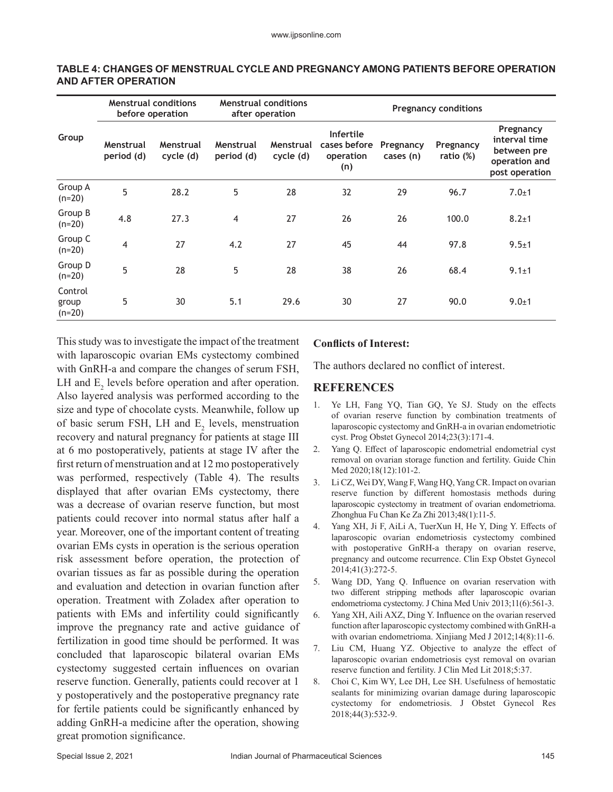| Group                        | <b>Menstrual conditions</b><br>before operation |                        | <b>Menstrual conditions</b><br>after operation |                        | <b>Pregnancy conditions</b>                          |                        |                        |                                                                              |
|------------------------------|-------------------------------------------------|------------------------|------------------------------------------------|------------------------|------------------------------------------------------|------------------------|------------------------|------------------------------------------------------------------------------|
|                              | Menstrual<br>period (d)                         | Menstrual<br>cycle (d) | Menstrual<br>period (d)                        | Menstrual<br>cycle (d) | <b>Infertile</b><br>cases before<br>operation<br>(n) | Pregnancy<br>cases (n) | Pregnancy<br>ratio (%) | Pregnancy<br>interval time<br>between pre<br>operation and<br>post operation |
| Group A<br>$(n=20)$          | 5                                               | 28.2                   | 5                                              | 28                     | 32                                                   | 29                     | 96.7                   | $7.0 + 1$                                                                    |
| Group B<br>$(n=20)$          | 4.8                                             | 27.3                   | $\overline{4}$                                 | 27                     | 26                                                   | 26                     | 100.0                  | $8.2 + 1$                                                                    |
| Group C<br>$(n=20)$          | 4                                               | 27                     | 4.2                                            | 27                     | 45                                                   | 44                     | 97.8                   | $9.5 + 1$                                                                    |
| Group D<br>$(n=20)$          | 5                                               | 28                     | 5                                              | 28                     | 38                                                   | 26                     | 68.4                   | $9.1 \pm 1$                                                                  |
| Control<br>group<br>$(n=20)$ | 5                                               | 30                     | 5.1                                            | 29.6                   | 30                                                   | 27                     | 90.0                   | $9.0 + 1$                                                                    |

#### **TABLE 4: CHANGES OF MENSTRUAL CYCLE AND PREGNANCY AMONG PATIENTS BEFORE OPERATION AND AFTER OPERATION**

This study was to investigate the impact of the treatment with laparoscopic ovarian EMs cystectomy combined with GnRH-a and compare the changes of serum FSH, LH and  $E_2$  levels before operation and after operation. Also layered analysis was performed according to the size and type of chocolate cysts. Meanwhile, follow up of basic serum FSH, LH and  $E_2$  levels, menstruation recovery and natural pregnancy for patients at stage III at 6 mo postoperatively, patients at stage IV after the first return of menstruation and at 12 mo postoperatively was performed, respectively (Table 4). The results displayed that after ovarian EMs cystectomy, there was a decrease of ovarian reserve function, but most patients could recover into normal status after half a year. Moreover, one of the important content of treating ovarian EMs cysts in operation is the serious operation risk assessment before operation, the protection of ovarian tissues as far as possible during the operation and evaluation and detection in ovarian function after operation. Treatment with Zoladex after operation to patients with EMs and infertility could significantly improve the pregnancy rate and active guidance of fertilization in good time should be performed. It was concluded that laparoscopic bilateral ovarian EMs cystectomy suggested certain influences on ovarian reserve function. Generally, patients could recover at 1 y postoperatively and the postoperative pregnancy rate for fertile patients could be significantly enhanced by adding GnRH-a medicine after the operation, showing great promotion significance.

## **Conflicts of Interest:**

The authors declared no conflict of interest.

# **REFERENCES**

- 1. Ye LH, Fang YQ, Tian GQ, Ye SJ. Study on the effects of ovarian reserve function by combination treatments of laparoscopic cystectomy and GnRH-a in ovarian endometriotic cyst. Prog Obstet Gynecol 2014;23(3):171-4.
- 2. Yang Q. Effect of laparoscopic endometrial endometrial cyst removal on ovarian storage function and fertility. Guide Chin Med 2020;18(12):101-2.
- 3. Li CZ, Wei DY, Wang F, Wang HQ, Yang CR. Impact on ovarian reserve function by different homostasis methods during laparoscopic cystectomy in treatment of ovarian endometrioma. Zhonghua Fu Chan Ke Za Zhi 2013;48(1):11-5.
- 4. Yang XH, Ji F, AiLi A, TuerXun H, He Y, Ding Y. Effects of laparoscopic ovarian endometriosis cystectomy combined with postoperative GnRH-a therapy on ovarian reserve, pregnancy and outcome recurrence. Clin Exp Obstet Gynecol 2014;41(3):272-5.
- 5. Wang DD, Yang Q. Influence on ovarian reservation with two different stripping methods after laparoscopic ovarian endometrioma cystectomy. J China Med Univ 2013;11(6):561-3.
- 6. Yang XH, Aili AXZ, Ding Y. Influence on the ovarian reserved function after laparoscopic cystectomy combined with GnRH-a with ovarian endometrioma. Xinjiang Med J 2012;14(8):11-6.
- 7. Liu CM, Huang YZ. Objective to analyze the effect of laparoscopic ovarian endometriosis cyst removal on ovarian reserve function and fertility. J Clin Med Lit 2018;5:37.
- 8. Choi C, Kim WY, Lee DH, Lee SH. Usefulness of hemostatic sealants for minimizing ovarian damage during laparoscopic cystectomy for endometriosis. J Obstet Gynecol Res 2018;44(3):532-9.